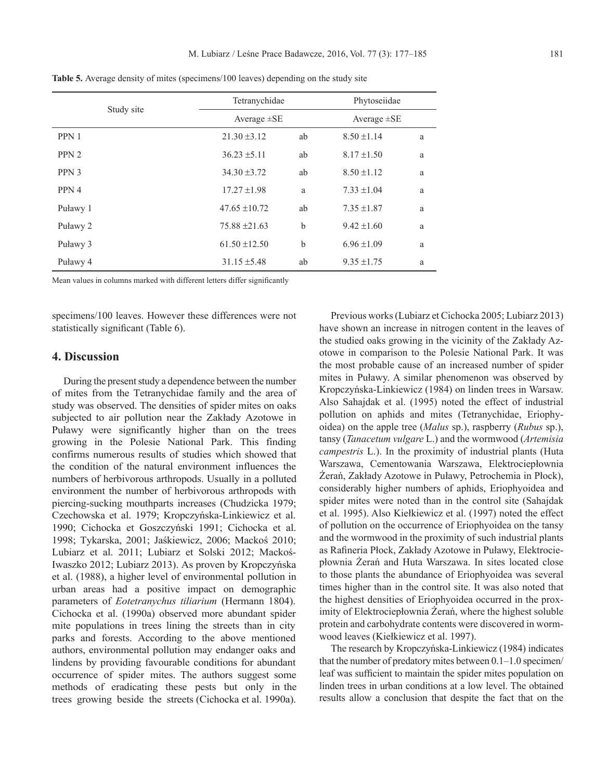| Study site       | Tetranychidae     |    | Phytoseiidae     |   |  |
|------------------|-------------------|----|------------------|---|--|
|                  | Average $\pm$ SE  |    | Average $\pm$ SE |   |  |
| PPN 1            | $21.30 \pm 3.12$  | ab | $8.50 \pm 1.14$  | a |  |
| PPN <sub>2</sub> | $36.23 \pm 5.11$  | ab | $8.17 \pm 1.50$  | a |  |
| PPN 3            | $34.30 \pm 3.72$  | ab | $8.50 \pm 1.12$  | a |  |
| PPN 4            | $17.27 \pm 1.98$  | a  | $7.33 \pm 1.04$  | a |  |
| Puławy 1         | $47.65 \pm 10.72$ | ab | $7.35 \pm 1.87$  | a |  |
| Puławy 2         | $75.88 \pm 21.63$ | b  | $9.42 \pm 1.60$  | a |  |
| Puławy 3         | $61.50 \pm 12.50$ | b  | $6.96 \pm 1.09$  | a |  |
| Puławy 4         | $31.15 \pm 5.48$  | ab | $9.35 \pm 1.75$  | a |  |

**Table 5.** Average density of mites (specimens/100 leaves) depending on the study site

Mean values in columns marked with different letters differ significantly

specimens/100 leaves. However these differences were not statistically significant (Table 6).

### **4. Discussion**

During the present study a dependence between the number of mites from the Tetranychidae family and the area of study was observed. The densities of spider mites on oaks subjected to air pollution near the Zakłady Azotowe in Puławy were significantly higher than on the trees growing in the Polesie National Park. This finding confirms numerous results of studies which showed that the condition of the natural environment influences the numbers of herbivorous arthropods. Usually in a polluted environment the number of herbivorous arthropods with piercing-sucking mouthparts increases (chudzicka 1979; czechowska et al. 1979; Kropczyńska-Linkiewicz et al. 1990; Cichocka et Goszczyński 1991; Cichocka et al. 1998; Tykarska, 2001; Jaśkiewicz, 2006; Mackoś 2010; Lubiarz et al. 2011; Lubiarz et Solski 2012; Mackoś-Iwaszko 2012; Lubiarz 2013). As proven by Kropczyńska et al. (1988), a higher level of environmental pollution in urban areas had a positive impact on demographic parameters of *Eotetranychus tiliarium* (Hermann 1804). cichocka et al. (1990a) observed more abundant spider mite populations in trees lining the streets than in city parks and forests. according to the above mentioned authors, environmental pollution may endanger oaks and lindens by providing favourable conditions for abundant occurrence of spider mites. The authors suggest some methods of eradicating these pests but only in the trees growing beside the streets (cichocka et al. 1990a).

Previous works (Lubiarz et Cichocka 2005; Lubiarz 2013) have shown an increase in nitrogen content in the leaves of the studied oaks growing in the vicinity of the Zakłady Azotowe in comparison to the Polesie National Park. It was the most probable cause of an increased number of spider mites in Puławy. A similar phenomenon was observed by Kropczyńska-Linkiewicz (1984) on linden trees in Warsaw. Also Sahajdak et al. (1995) noted the effect of industrial pollution on aphids and mites (Tetranychidae, Eriophyoidea) on the apple tree (*Malus* sp.), raspberry (*Rubus* sp.), tansy (*Tanacetum vulgare* L.) and the wormwood (*Artemisia campestris* L.). In the proximity of industrial plants (Huta Warszawa, Cementowania Warszawa, Elektrociepłownia Żerań, Zakłady Azotowe in Puławy, Petrochemia in Płock), considerably higher numbers of aphids, Eriophyoidea and spider mites were noted than in the control site (Sahajdak et al. 1995). Also Kiełkiewicz et al. (1997) noted the effect of pollution on the occurrence of Eriophyoidea on the tansy and the wormwood in the proximity of such industrial plants as Rafineria Płock, Zakłady Azotowe in Puławy, Elektrociepłownia Żerań and Huta Warszawa. In sites located close to those plants the abundance of Eriophyoidea was several times higher than in the control site. It was also noted that the highest densities of Eriophyoidea occurred in the proximity of Elektrociepłownia Żerań, where the highest soluble protein and carbohydrate contents were discovered in wormwood leaves (Kiełkiewicz et al. 1997).

The research by Kropczyńska-Linkiewicz (1984) indicates that the number of predatory mites between 0.1–1.0 specimen/ leaf was sufficient to maintain the spider mites population on linden trees in urban conditions at a low level. The obtained results allow a conclusion that despite the fact that on the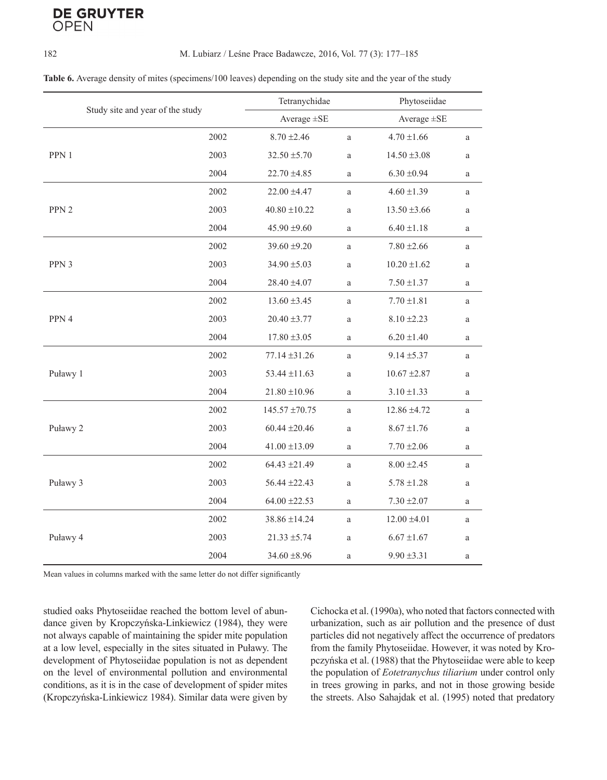# **DE GRUYTER** OPFN

#### 182 M. Lubiarz / Leśne Prace Badawcze, 2016, Vol. 77 (3): 177–185

| Table 6. Average density of mites (specimens/100 leaves) depending on the study site and the year of the study |  |  |  |
|----------------------------------------------------------------------------------------------------------------|--|--|--|
|----------------------------------------------------------------------------------------------------------------|--|--|--|

| Study site and year of the study |      | Tetranychidae      |              | Phytoseiidae     |              |
|----------------------------------|------|--------------------|--------------|------------------|--------------|
|                                  |      | Average $\pm$ SE   |              | Average $\pm$ SE |              |
|                                  | 2002 | $8.70 \pm 2.46$    | $\rm{a}$     | $4.70 \pm 1.66$  | a            |
| PPN 1                            | 2003 | $32.50 \pm 5.70$   | $\rm{a}$     | $14.50 \pm 3.08$ | a            |
|                                  | 2004 | $22.70 \pm 4.85$   | $\mathbf{a}$ | $6.30 \pm 0.94$  | a            |
| PPN <sub>2</sub>                 | 2002 | 22.00 ±4.47        | $\mathbf{a}$ | $4.60 \pm 1.39$  | $\rm{a}$     |
|                                  | 2003 | $40.80 \pm 10.22$  | $\rm{a}$     | $13.50 \pm 3.66$ | $\rm{a}$     |
|                                  | 2004 | $45.90 \pm 9.60$   | $\rm{a}$     | $6.40 \pm 1.18$  | a            |
| PPN 3                            | 2002 | $39.60 \pm 9.20$   | a            | $7.80 \pm 2.66$  | a            |
|                                  | 2003 | $34.90 \pm 5.03$   | $\rm{a}$     | $10.20 \pm 1.62$ | a            |
|                                  | 2004 | 28.40 ±4.07        | $\mathbf{a}$ | $7.50 \pm 1.37$  | a            |
| PPN 4                            | 2002 | $13.60 \pm 3.45$   | a            | $7.70 \pm 1.81$  | a            |
|                                  | 2003 | $20.40 \pm 3.77$   | $\rm{a}$     | $8.10 \pm 2.23$  | $\rm{a}$     |
|                                  | 2004 | $17.80 \pm 3.05$   | $\rm{a}$     | $6.20 \pm 1.40$  | a            |
| Puławy 1                         | 2002 | $77.14 \pm 31.26$  | a            | $9.14 \pm 5.37$  | a            |
|                                  | 2003 | $53.44 \pm 11.63$  | a            | $10.67 \pm 2.87$ | a            |
|                                  | 2004 | $21.80 \pm 10.96$  | a            | $3.10 \pm 1.33$  | a            |
| Puławy 2                         | 2002 | $145.57 \pm 70.75$ | a            | 12.86 ±4.72      | a            |
|                                  | 2003 | $60.44 \pm 20.46$  | a            | $8.67 \pm 1.76$  | $\rm{a}$     |
|                                  | 2004 | $41.00 \pm 13.09$  | $\rm{a}$     | $7.70 \pm 2.06$  | $\rm{a}$     |
| Puławy 3                         | 2002 | $64.43 \pm 21.49$  | $\mathbf{a}$ | $8.00 \pm 2.45$  | a            |
|                                  | 2003 | 56.44 ±22.43       | $\rm{a}$     | $5.78 \pm 1.28$  | $\rm{a}$     |
|                                  | 2004 | $64.00 \pm 22.53$  | a            | $7.30 \pm 2.07$  | $\mathbf{a}$ |
| Puławy 4                         | 2002 | 38.86 ±14.24       | $\mathbf{a}$ | $12.00 \pm 4.01$ | a            |
|                                  | 2003 | $21.33 \pm 5.74$   | $\rm{a}$     | $6.67 \pm 1.67$  | a            |
|                                  | 2004 | $34.60 \pm 8.96$   | a            | $9.90 \pm 3.31$  | a            |

Mean values in columns marked with the same letter do not differ significantly

studied oaks Phytoseiidae reached the bottom level of abundance given by Kropczyńska-Linkiewicz (1984), they were not always capable of maintaining the spider mite population at a low level, especially in the sites situated in Puławy. The development of Phytoseiidae population is not as dependent on the level of environmental pollution and environmental conditions, as it is in the case of development of spider mites (Kropczyńska-Linkiewicz 1984). Similar data were given by Cichocka et al. (1990a), who noted that factors connected with urbanization, such as air pollution and the presence of dust particles did not negatively affect the occurrence of predators from the family Phytoseiidae. However, it was noted by Kropczyńska et al. (1988) that the Phytoseiidae were able to keep the population of *Eotetranychus tiliarium* under control only in trees growing in parks, and not in those growing beside the streets. Also Sahajdak et al. (1995) noted that predatory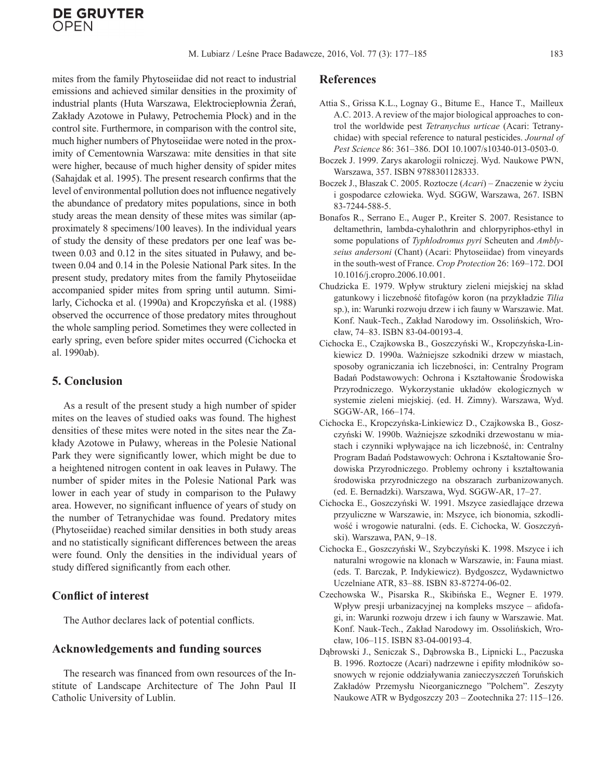mites from the family Phytoseiidae did not react to industrial emissions and achieved similar densities in the proximity of industrial plants (Huta Warszawa, Elektrociepłownia Żerań, Zakłady Azotowe in Puławy, Petrochemia Płock) and in the control site. Furthermore, in comparison with the control site, much higher numbers of Phytoseiidae were noted in the proximity of Cementownia Warszawa: mite densities in that site were higher, because of much higher density of spider mites (Sahajdak et al. 1995). The present research confirms that the level of environmental pollution does not influence negatively the abundance of predatory mites populations, since in both study areas the mean density of these mites was similar (approximately 8 specimens/100 leaves). In the individual years of study the density of these predators per one leaf was between 0.03 and 0.12 in the sites situated in Puławy, and between 0.04 and 0.14 in the Polesie National Park sites. In the present study, predatory mites from the family Phytoseiidae accompanied spider mites from spring until autumn. Similarly, Cichocka et al. (1990a) and Kropczyńska et al. (1988) observed the occurrence of those predatory mites throughout the whole sampling period. Sometimes they were collected in early spring, even before spider mites occurred (Cichocka et al. 1990ab).

### **5. Conclusion**

As a result of the present study a high number of spider mites on the leaves of studied oaks was found. The highest densities of these mites were noted in the sites near the Zakłady Azotowe in Puławy, whereas in the Polesie National Park they were significantly lower, which might be due to a heightened nitrogen content in oak leaves in Puławy. The number of spider mites in the Polesie National Park was lower in each year of study in comparison to the Puławy area. However, no significant influence of years of study on the number of Tetranychidae was found. Predatory mites (Phytoseiidae) reached similar densities in both study areas and no statistically significant differences between the areas were found. Only the densities in the individual years of study differed significantly from each other.

## **Conflict of interest**

The Author declares lack of potential conflicts.

### **Acknowledgements and funding sources**

The research was financed from own resources of the Institute of Landscape Architecture of The John Paul II Catholic University of Lublin.

#### **References**

- Attia S., Grissa K.L., Lognay G., Bitume E., Hance T., Mailleux A.C. 2013. A review of the major biological approaches to control the worldwide pest *Tetranychus urticae* (Acari: Tetranychidae) with special reference to natural pesticides. *Journal of Pest Science* 86: 361–386. DOI 10.1007/s10340-013-0503-0.
- Boczek J. 1999. Zarys akarologii rolniczej. Wyd. Naukowe PWN, Warszawa, 357. ISBN 9788301128333.
- Boczek J., Błaszak C. 2005. Roztocze (*Acari*) Znaczenie w życiu i gospodarce człowieka. Wyd. SGGW, Warszawa, 267. ISBN 83-7244-588-5.
- Bonafos R., Serrano E., Auger P., Kreiter S. 2007. Resistance to deltamethrin, lambda-cyhalothrin and chlorpyriphos-ethyl in some populations of *Typhlodromus pyri* Scheuten and *Amblyseius andersoni* (Chant) (Acari: Phytoseiidae) from vineyards in the south-west of France. *Crop Protection* 26: 169–172. DOI 10.1016/j.cropro.2006.10.001.
- Chudzicka E. 1979. Wpływ struktury zieleni miejskiej na skład gatunkowy i liczebność fitofagów koron (na przykładzie *Tilia* sp.), in: Warunki rozwoju drzew i ich fauny w Warszawie. Mat. Konf. Nauk-Tech., Zakład Narodowy im. Ossolińskich, Wrocław, 74–83. ISBN 83-04-00193-4.
- Cichocka E., Czajkowska B., Goszczyński W., Kropczyńska-Linkiewicz D. 1990a. Ważniejsze szkodniki drzew w miastach, sposoby ograniczania ich liczebności, in: Centralny Program Badań Podstawowych: Ochrona i Kształtowanie Środowiska Przyrodniczego. Wykorzystanie układów ekologicznych w systemie zieleni miejskiej. (ed. H. Zimny). Warszawa, Wyd. SGGW-AR, 166–174.
- Cichocka E., Kropczyńska-Linkiewicz D., Czajkowska B., Goszczyński W. 1990b. Ważniejsze szkodniki drzewostanu w miastach i czynniki wpływające na ich liczebność, in: Centralny Program Badań Podstawowych: Ochrona i Kształtowanie Środowiska Przyrodniczego. Problemy ochrony i kształtowania środowiska przyrodniczego na obszarach zurbanizowanych. (ed. E. Bernadzki). Warszawa, Wyd. SGGW-AR, 17–27.
- Cichocka E., Goszczyński W. 1991. Mszyce zasiedlające drzewa przyuliczne w Warszawie, in: Mszyce, ich bionomia, szkodliwość i wrogowie naturalni. (eds. E. Cichocka, W. Goszczyński). Warszawa, PAN, 9–18.
- Cichocka E., Goszczyński W., Szybczyński K. 1998. Mszyce i ich naturalni wrogowie na klonach w Warszawie, in: Fauna miast. (eds. T. Barczak, P. Indykiewicz). Bydgoszcz, Wydawnictwo Uczelniane ATR, 83–88. ISBN 83-87274-06-02.
- Czechowska W., Pisarska R., Skibińska E., Wegner E. 1979. Wpływ presji urbanizacyjnej na kompleks mszyce – afidofagi, in: Warunki rozwoju drzew i ich fauny w Warszawie. Mat. Konf. Nauk-Tech., Zakład Narodowy im. Ossolińskich, Wrocław, 106–115. ISBN 83-04-00193-4.
- Dąbrowski J., Seniczak S., Dąbrowska B., Lipnicki L., Paczuska B. 1996. Roztocze (Acari) nadrzewne i epifity młodników sosnowych w rejonie oddziaływania zanieczyszczeń Toruńskich Zakładów Przemysłu Nieorganicznego "Polchem". Zeszyty Naukowe ATR w Bydgoszczy 203 – Zootechnika 27: 115–126.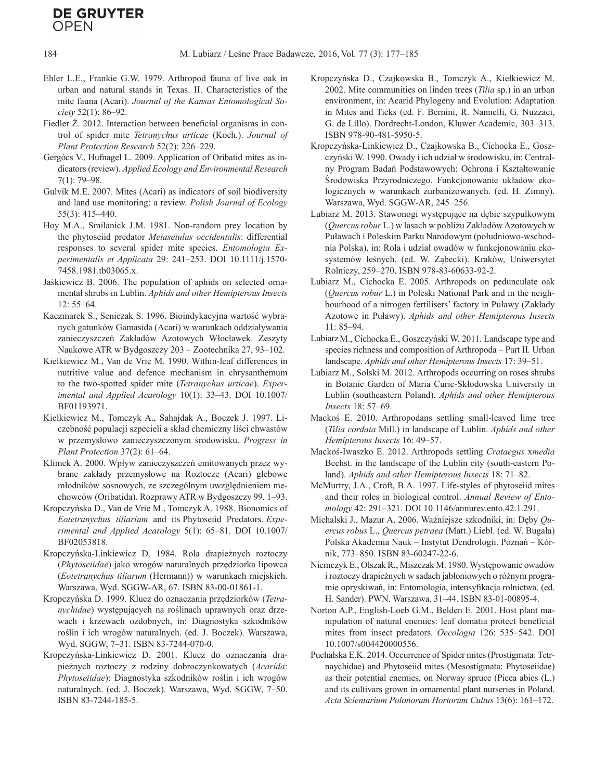# **DE GRUYTER** OPFN

- Ehler L.E., Frankie G.W. 1979. Arthropod fauna of live oak in urban and natural stands in Texas. II. Characteristics of the mite fauna (Acari). *Journal of the Kansas Entomological Society* 52(1): 86–92.
- Fiedler Ż. 2012. Interaction between beneficial organisms in control of spider mite *Tetranychus urticae* (Koch.). *Journal of Plant Protection Research* 52(2): 226–229.
- Gergócs V., Hufnagel L. 2009. Application of Oribatid mites as indicators (review). *Applied Ecology and Environmental Research* 7(1): 79–98.
- Gulvik M.E. 2007. Mites (Acari) as indicators of soil biodiversity and land use monitoring: a review. *Polish Journal of Ecology* 55(3): 415–440.
- Hoy M.A., Smilanick J.M. 1981. Non-random prey location by the phytoseiid predator *Metaseiulus occidentalis*: differential responses to several spider mite species. *Entomologia Experimentalis et Applicata* 29: 241–253. DOI 10.1111/j.1570- 7458.1981.tb03065.x.
- Jaśkiewicz B. 2006. The population of aphids on selected ornamental shrubs in Lublin. *Aphids and other Hemipterous Insects* 12: 55–64.
- Kaczmarek S., Seniczak S. 1996. Bioindykacyjna wartość wybranych gatunków Gamasida (Acari) w warunkach oddziaływania zanieczyszczeń Zakładów Azotowych Włocławek. Zeszyty Naukowe ATR w Bydgoszczy 203 – Zootechnika 27, 93–102.
- Kielkiewicz M., Van de Vrie M. 1990. Within-leaf differences in nutritive value and defence mechanism in chrysanthemum to the two-spotted spider mite (*Tetranychus urticae*). *Experimental and Applied Acarology* 10(1): 33–43. DOI 10.1007/ BF01193971.
- Kiełkiewicz M., Tomczyk A., Sahajdak A., Boczek J. 1997. Liczebność populacji szpecieli a skład chemiczny liści chwastów w przemysłowo zanieczyszczonym środowisku. *Progress in Plant Protection* 37(2): 61–64.
- Klimek A. 2000. Wpływ zanieczyszczeń emitowanych przez wybrane zakłady przemysłowe na Roztocze (Acari) glebowe młodników sosnowych, ze szczególnym uwzględnieniem mechowców (Oribatida). Rozprawy ATR w Bydgoszczy 99, 1–93.
- Kropczyńska D., Van de Vrie M., Tomczyk A. 1988. Bionomics of *Eotetranychus tiliarium* and its Phytoseiid Predators. *Experimental and Applied Acarology* 5(1): 65–81. DOI 10.1007/ BF02053818.
- Kropczyńska-Linkiewicz D. 1984. Rola drapieżnych roztoczy (*Phytoseiidae*) jako wrogów naturalnych przędziorka lipowca (*Eotetranychus tiliarum* (Hermann)) w warunkach miejskich. Warszawa, Wyd. SGGW-AR, 67. ISBN 83-00-01861-1.
- Kropczyńska D. 1999. Klucz do oznaczania przędziorków (*Tetranychidae*) występujących na roślinach uprawnych oraz drzewach i krzewach ozdobnych, in: Diagnostyka szkodników roślin i ich wrogów naturalnych. (ed. J. Boczek). Warszawa, Wyd. SGGW, 7–31. ISBN 83-7244-070-0.
- Kropczyńska-Linkiewicz D. 2001. Klucz do oznaczania drapieżnych roztoczy z rodziny dobroczynkowatych (*Acarida*: *Phytoseiidae*): Diagnostyka szkodników roślin i ich wrogów naturalnych. (ed. J. Boczek). Warszawa, Wyd. SGGW, 7–50. ISBN 83-7244-185-5.
- Kropczyńska D., Czajkowska B., Tomczyk A., Kiełkiewicz M. 2002. Mite communities on linden trees (*Tilia* sp.) in an urban environment, in: Acarid Phylogeny and Evolution: Adaptation in Mites and Ticks (ed. F. Bernini, R. Nannelli, G. Nuzzaci, G. de Lillo). Dordrecht-London, Kluwer Academic, 303–313. ISBN 978-90-481-5950-5.
- Kropczyńska-Linkiewicz D., Czajkowska B., Cichocka E., Goszczyński W. 1990. Owady i ich udział w środowisku, in: Centralny Program Badań Podstawowych: Ochrona i Kształtowanie Środowiska Przyrodniczego. Funkcjonowanie układów ekologicznych w warunkach zurbanizowanych. (ed. H. Zimny). Warszawa, Wyd. SGGW-AR, 245–256.
- Lubiarz M. 2013. Stawonogi występujące na dębie szypułkowym (*Quercus robur* L.) w lasach w pobliżu Zakładów Azotowych w Puławach i Poleskim Parku Narodowym (południowo-wschodnia Polska), in: Rola i udział owadów w funkcjonowaniu ekosystemów leśnych. (ed. W. Ząbecki). Kraków, Uniwersytet Rolniczy, 259–270. ISBN 978-83-60633-92-2.
- Lubiarz M., Cichocka E. 2005. Arthropods on pedunculate oak (*Quercus robur* L.) in Poleski National Park and in the neighbourhood of a nitrogen fertilisers' factory in Puławy (Zakłady Azotowe in Puławy). *Aphids and other Hemipterous Insects* 11: 85–94.
- LubiarzM., Cichocka E., Goszczyński W. 2011. Landscape type and species richness and composition of Arthropoda – Part II. Urban landscape. *Aphids and other Hemipterous Insects* 17: 39–51.
- Lubiarz M., Solski M. 2012. Arthropods occurring on roses shrubs in Botanic Garden of Maria Curie-Skłodowska University in Lublin (southeastern Poland). *Aphids and other Hemipterous Insects* 18: 57–69.
- Mackoś E. 2010. Arthropodans settling small-leaved lime tree (*Tilia cordata* Mill.) in landscape of Lublin. *Aphids and other Hemipterous Insects* 16: 49–57.
- Mackoś-Iwaszko E. 2012. Arthropods settling *Crataegus* x*media* Bechst. in the landscape of the Lublin city (south-eastern Poland). *Aphids and other Hemipterous Insects* 18: 71–82.
- McMurtry, J.A., Croft, B.A. 1997. Life-styles of phytoseiid mites and their roles in biological control. *Annual Review of Entomology* 42: 291–321. DOI 10.1146/annurev.ento.42.1.291.
- Michalski J., Mazur A. 2006. Ważniejsze szkodniki, in: Dęby *Quercus robus* L., *Quercus petraea* (Matt.) Liebl. (ed. W. Bugała) Polska Akademia Nauk – Instytut Dendrologii. Poznań – Kórnik, 773–850. ISBN 83-60247-22-6.
- Niemczyk E., Olszak R., Miszczak M. 1980. Występowanie owadów i roztoczy drapieżnych w sadach jabłoniowych o różnym programie opryskiwań, in: Entomologia, intensyfikacja rolnictwa. (ed. H. Sander). PWN. Warszawa, 31–44. ISBN 83-01-00895-4.
- Norton A.P., English-Loeb G.M., Belden E. 2001. Host plant manipulation of natural enemies: leaf domatia protect beneficial mites from insect predators. *Oecologia* 126: 535–542. DOI 10.1007/s004420000556.
- Puchalska E.K. 2014. Occurrence of Spider mites (Prostigmata: Tetrnaychidae) and Phytoseiid mites (Mesostigmata: Phytoseiidae) as their potential enemies, on Norway spruce (Picea abies (L.) and its cultivars grown in ornamental plant nurseries in Poland. *Acta Scientarium Polonorum Hortorum Cultus* 13(6): 161–172.